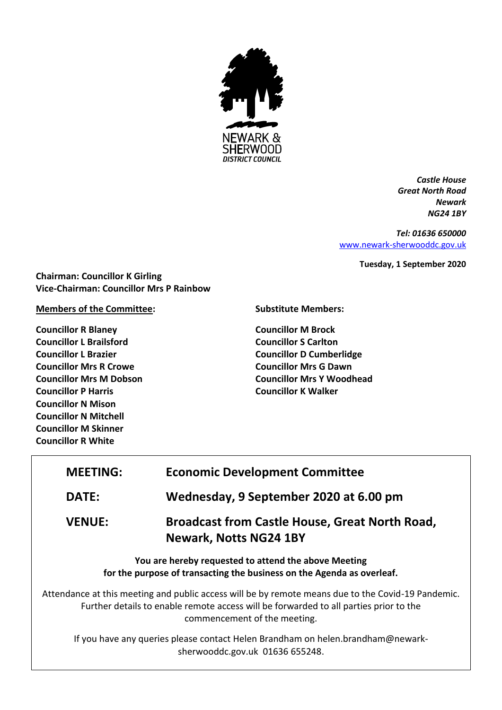

*Castle House Great North Road Newark NG24 1BY*

*Tel: 01636 650000* [www.newark-sherwooddc.gov.uk](http://www.newark-sherwooddc.gov.uk/)

**Tuesday, 1 September 2020**

**Chairman: Councillor K Girling Vice-Chairman: Councillor Mrs P Rainbow**

# **Members of the Committee:**

**Councillor R Blaney Councillor L Brailsford Councillor L Brazier Councillor Mrs R Crowe Councillor Mrs M Dobson Councillor P Harris Councillor N Mison Councillor N Mitchell Councillor M Skinner Councillor R White**

**Substitute Members:**

**Councillor M Brock Councillor S Carlton Councillor D Cumberlidge Councillor Mrs G Dawn Councillor Mrs Y Woodhead Councillor K Walker**

| <b>MEETING:</b>                                                                                                                                                                                                             | <b>Economic Development Committee</b>                                                  |
|-----------------------------------------------------------------------------------------------------------------------------------------------------------------------------------------------------------------------------|----------------------------------------------------------------------------------------|
| DATE:                                                                                                                                                                                                                       | Wednesday, 9 September 2020 at 6.00 pm                                                 |
| <b>VENUE:</b>                                                                                                                                                                                                               | <b>Broadcast from Castle House, Great North Road,</b><br><b>Newark, Notts NG24 1BY</b> |
| You are hereby requested to attend the above Meeting<br>for the purpose of transacting the business on the Agenda as overleaf.                                                                                              |                                                                                        |
| Attendance at this meeting and public access will be by remote means due to the Covid-19 Pandemic.<br>Further details to enable remote access will be forwarded to all parties prior to the<br>commencement of the meeting. |                                                                                        |
| If you have any queries please contact Helen Brandham on helen.brandham@newark-<br>sherwooddc.gov.uk 01636 655248.                                                                                                          |                                                                                        |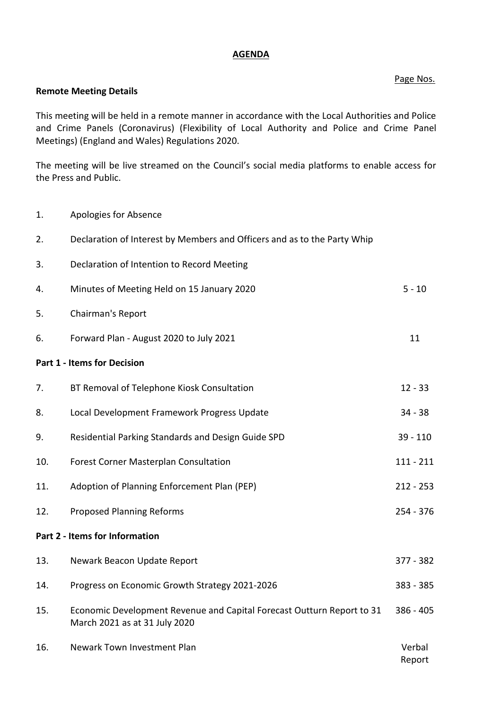### **AGENDA**

### Page Nos.

#### **Remote Meeting Details**

This meeting will be held in a remote manner in accordance with the Local Authorities and Police and Crime Panels (Coronavirus) (Flexibility of Local Authority and Police and Crime Panel Meetings) (England and Wales) Regulations 2020.

The meeting will be live streamed on the Council's social media platforms to enable access for the Press and Public.

1. Apologies for Absence 2. Declaration of Interest by Members and Officers and as to the Party Whip 3. Declaration of Intention to Record Meeting 4. Minutes of Meeting Held on 15 January 2020 5 - 10 5. Chairman's Report 6. Forward Plan - August 2020 to July 2021 11 **Part 1 - Items for Decision** 7. BT Removal of Telephone Kiosk Consultation 12 - 33 8. Local Development Framework Progress Update 34 - 38 9. Residential Parking Standards and Design Guide SPD 39 - 110 10. Forest Corner Masterplan Consultation 110. 111 - 211 11. Adoption of Planning Enforcement Plan (PEP) 212 - 253 12. Proposed Planning Reforms 254 - 376 **Part 2 - Items for Information** 13. Newark Beacon Update Report 377 - 382 14. Progress on Economic Growth Strategy 2021-2026 383 - 385 15. Economic Development Revenue and Capital Forecast Outturn Report to 31 March 2021 as at 31 July 2020 386 - 405 16. Newark Town Investment Plan Report